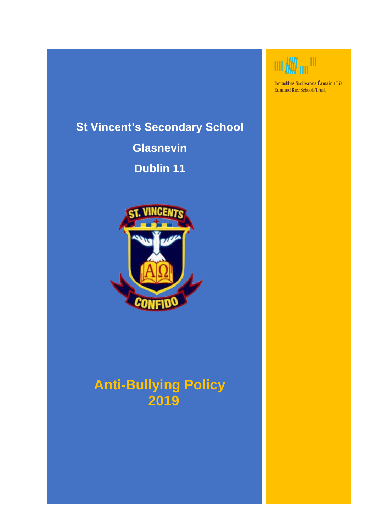# **St Vincent's Secondary School**

**Glasnevin Dublin 11**



# **Anti-Bullying Policy 2019**



Iontaobhas Scoileanna Éamainn Rís Edmund Rice Schools Trust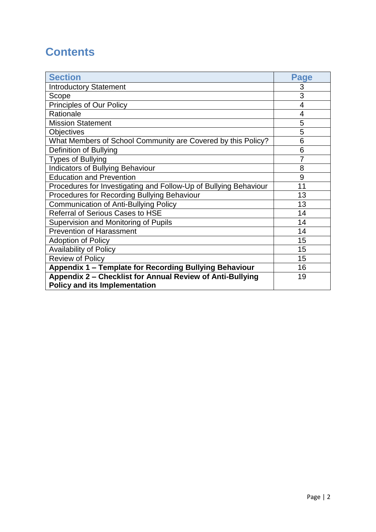### **Contents**

| <b>Section</b>                                                                                    | <b>Page</b> |
|---------------------------------------------------------------------------------------------------|-------------|
| <b>Introductory Statement</b>                                                                     | 3           |
| Scope                                                                                             | 3           |
| <b>Principles of Our Policy</b>                                                                   | 4           |
| Rationale                                                                                         | 4           |
| <b>Mission Statement</b>                                                                          | 5           |
| <b>Objectives</b>                                                                                 | 5           |
| What Members of School Community are Covered by this Policy?                                      | 6           |
| Definition of Bullying                                                                            | 6           |
| <b>Types of Bullying</b>                                                                          |             |
| <b>Indicators of Bullying Behaviour</b>                                                           | 8           |
| <b>Education and Prevention</b>                                                                   | 9           |
| Procedures for Investigating and Follow-Up of Bullying Behaviour                                  | 11          |
| Procedures for Recording Bullying Behaviour                                                       | 13          |
| <b>Communication of Anti-Bullying Policy</b>                                                      | 13          |
| <b>Referral of Serious Cases to HSE</b>                                                           | 14          |
| Supervision and Monitoring of Pupils                                                              | 14          |
| <b>Prevention of Harassment</b>                                                                   | 14          |
| <b>Adoption of Policy</b>                                                                         | 15          |
| <b>Availability of Policy</b>                                                                     | 15          |
| <b>Review of Policy</b>                                                                           | 15          |
| Appendix 1 - Template for Recording Bullying Behaviour                                            | 16          |
| Appendix 2 - Checklist for Annual Review of Anti-Bullying<br><b>Policy and its Implementation</b> | 19          |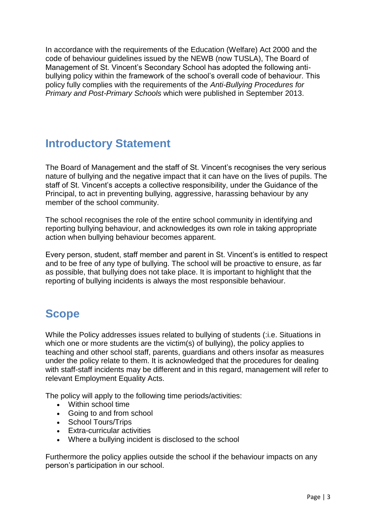In accordance with the requirements of the Education (Welfare) Act 2000 and the code of behaviour guidelines issued by the NEWB (now TUSLA), The Board of Management of St. Vincent's Secondary School has adopted the following antibullying policy within the framework of the school's overall code of behaviour. This policy fully complies with the requirements of the *Anti-Bullying Procedures for Primary and Post-Primary Schools* which were published in September 2013.

### **Introductory Statement**

The Board of Management and the staff of St. Vincent's recognises the very serious nature of bullying and the negative impact that it can have on the lives of pupils. The staff of St. Vincent's accepts a collective responsibility, under the Guidance of the Principal, to act in preventing bullying, aggressive, harassing behaviour by any member of the school community.

The school recognises the role of the entire school community in identifying and reporting bullying behaviour, and acknowledges its own role in taking appropriate action when bullying behaviour becomes apparent.

Every person, student, staff member and parent in St. Vincent's is entitled to respect and to be free of any type of bullying. The school will be proactive to ensure, as far as possible, that bullying does not take place. It is important to highlight that the reporting of bullying incidents is always the most responsible behaviour.

# **Scope**

While the Policy addresses issues related to bullying of students (:i.e. Situations in which one or more students are the victim(s) of bullying), the policy applies to teaching and other school staff, parents, guardians and others insofar as measures under the policy relate to them. It is acknowledged that the procedures for dealing with staff-staff incidents may be different and in this regard, management will refer to relevant Employment Equality Acts.

The policy will apply to the following time periods/activities:

- Within school time
- Going to and from school
- School Tours/Trips
- Extra-curricular activities
- Where a bullying incident is disclosed to the school

Furthermore the policy applies outside the school if the behaviour impacts on any person's participation in our school.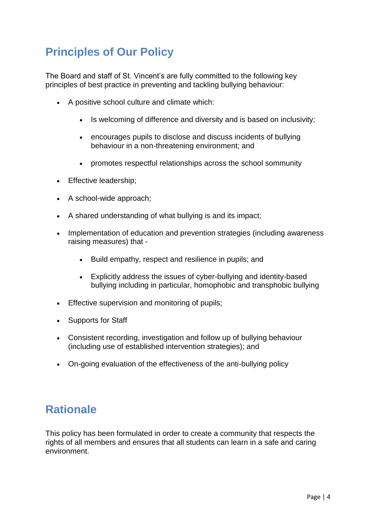# **Principles of Our Policy**

The Board and staff of St. Vincent's are fully committed to the following key principles of best practice in preventing and tackling bullying behaviour:

- A positive school culture and climate which:
	- Is welcoming of difference and diversity and is based on inclusivity;
	- encourages pupils to disclose and discuss incidents of bullying behaviour in a non-threatening environment; and
	- promotes respectful relationships across the school sommunity
- Effective leadership;
- A school-wide approach;
- A shared understanding of what bullying is and its impact;
- Implementation of education and prevention strategies (including awareness raising measures) that -
	- Build empathy, respect and resilience in pupils; and
	- Explicitly address the issues of cyber-bullying and identity-based bullying including in particular, homophobic and transphobic bullying
- **Effective supervision and monitoring of pupils;**
- Supports for Staff
- Consistent recording, investigation and follow up of bullying behaviour (including use of established intervention strategies); and
- On-going evaluation of the effectiveness of the anti-bullying policy

### **Rationale**

This policy has been formulated in order to create a community that respects the rights of all members and ensures that all students can learn in a safe and caring environment.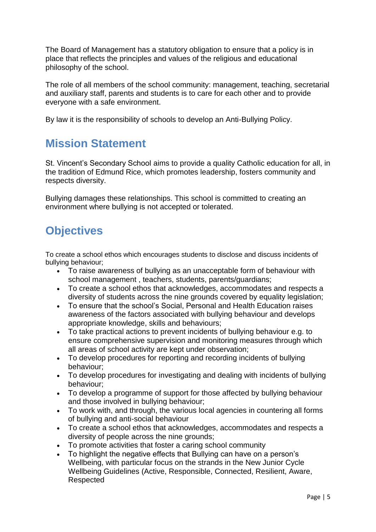The Board of Management has a statutory obligation to ensure that a policy is in place that reflects the principles and values of the religious and educational philosophy of the school.

The role of all members of the school community: management, teaching, secretarial and auxiliary staff, parents and students is to care for each other and to provide everyone with a safe environment.

By law it is the responsibility of schools to develop an Anti-Bullying Policy.

### **Mission Statement**

St. Vincent's Secondary School aims to provide a quality Catholic education for all, in the tradition of Edmund Rice, which promotes leadership, fosters community and respects diversity.

Bullying damages these relationships. This school is committed to creating an environment where bullying is not accepted or tolerated.

# **Objectives**

To create a school ethos which encourages students to disclose and discuss incidents of bullying behaviour;

- To raise awareness of bullying as an unacceptable form of behaviour with school management , teachers, students, parents/guardians;
- To create a school ethos that acknowledges, accommodates and respects a diversity of students across the nine grounds covered by equality legislation;
- To ensure that the school's Social, Personal and Health Education raises awareness of the factors associated with bullying behaviour and develops appropriate knowledge, skills and behaviours;
- To take practical actions to prevent incidents of bullying behaviour e.g. to ensure comprehensive supervision and monitoring measures through which all areas of school activity are kept under observation;
- To develop procedures for reporting and recording incidents of bullying behaviour;
- To develop procedures for investigating and dealing with incidents of bullying behaviour;
- To develop a programme of support for those affected by bullying behaviour and those involved in bullying behaviour;
- To work with, and through, the various local agencies in countering all forms of bullying and anti-social behaviour
- To create a school ethos that acknowledges, accommodates and respects a diversity of people across the nine grounds;
- To promote activities that foster a caring school community
- To highlight the negative effects that Bullying can have on a person's Wellbeing, with particular focus on the strands in the New Junior Cycle Wellbeing Guidelines (Active, Responsible, Connected, Resilient, Aware, Respected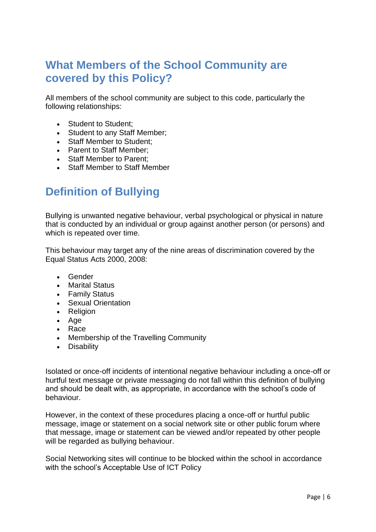### **What Members of the School Community are covered by this Policy?**

All members of the school community are subject to this code, particularly the following relationships:

- Student to Student:
- Student to any Staff Member;
- Staff Member to Student;
- Parent to Staff Member:
- Staff Member to Parent:
- Staff Member to Staff Member

### **Definition of Bullying**

Bullying is unwanted negative behaviour, verbal psychological or physical in nature that is conducted by an individual or group against another person (or persons) and which is repeated over time.

This behaviour may target any of the nine areas of discrimination covered by the Equal Status Acts 2000, 2008:

- Gender
- Marital Status
- Family Status
- Sexual Orientation
- Religion
- Age
- Race
- Membership of the Travelling Community
- Disability

Isolated or once-off incidents of intentional negative behaviour including a once-off or hurtful text message or private messaging do not fall within this definition of bullying and should be dealt with, as appropriate, in accordance with the school's code of behaviour.

However, in the context of these procedures placing a once-off or hurtful public message, image or statement on a social network site or other public forum where that message, image or statement can be viewed and/or repeated by other people will be regarded as bullying behaviour.

Social Networking sites will continue to be blocked within the school in accordance with the school's Acceptable Use of ICT Policy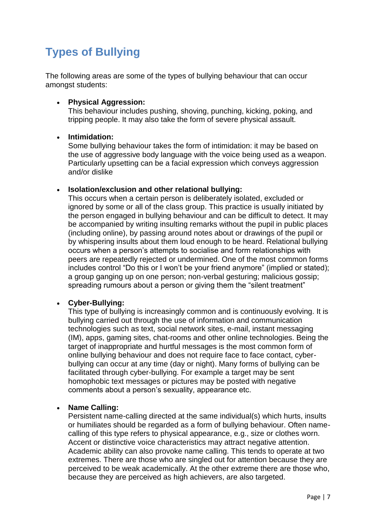# **Types of Bullying**

The following areas are some of the types of bullying behaviour that can occur amongst students:

#### **Physical Aggression:**

This behaviour includes pushing, shoving, punching, kicking, poking, and tripping people. It may also take the form of severe physical assault.

#### **Intimidation:**

Some bullying behaviour takes the form of intimidation: it may be based on the use of aggressive body language with the voice being used as a weapon. Particularly upsetting can be a facial expression which conveys aggression and/or dislike

#### **Isolation/exclusion and other relational bullying:**

This occurs when a certain person is deliberately isolated, excluded or ignored by some or all of the class group. This practice is usually initiated by the person engaged in bullying behaviour and can be difficult to detect. It may be accompanied by writing insulting remarks without the pupil in public places (including online), by passing around notes about or drawings of the pupil or by whispering insults about them loud enough to be heard. Relational bullying occurs when a person's attempts to socialise and form relationships with peers are repeatedly rejected or undermined. One of the most common forms includes control "Do this or I won't be your friend anymore" (implied or stated); a group ganging up on one person; non-verbal gesturing; malicious gossip; spreading rumours about a person or giving them the "silent treatment"

#### **Cyber-Bullying:**

This type of bullying is increasingly common and is continuously evolving. It is bullying carried out through the use of information and communication technologies such as text, social network sites, e-mail, instant messaging (IM), apps, gaming sites, chat-rooms and other online technologies. Being the target of inappropriate and hurtful messages is the most common form of online bullying behaviour and does not require face to face contact, cyberbullying can occur at any time (day or night). Many forms of bullying can be facilitated through cyber-bullying. For example a target may be sent homophobic text messages or pictures may be posted with negative comments about a person's sexuality, appearance etc.

#### **Name Calling:**

Persistent name-calling directed at the same individual(s) which hurts, insults or humiliates should be regarded as a form of bullying behaviour. Often namecalling of this type refers to physical appearance, e.g., size or clothes worn. Accent or distinctive voice characteristics may attract negative attention. Academic ability can also provoke name calling. This tends to operate at two extremes. There are those who are singled out for attention because they are perceived to be weak academically. At the other extreme there are those who, because they are perceived as high achievers, are also targeted.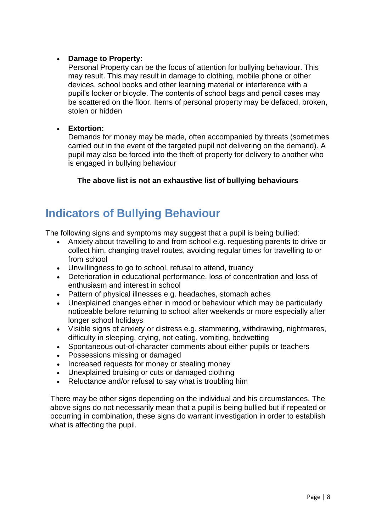#### **Damage to Property:**

Personal Property can be the focus of attention for bullying behaviour. This may result. This may result in damage to clothing, mobile phone or other devices, school books and other learning material or interference with a pupil's locker or bicycle. The contents of school bags and pencil cases may be scattered on the floor. Items of personal property may be defaced, broken, stolen or hidden

#### **Extortion:**

Demands for money may be made, often accompanied by threats (sometimes carried out in the event of the targeted pupil not delivering on the demand). A pupil may also be forced into the theft of property for delivery to another who is engaged in bullying behaviour

#### **The above list is not an exhaustive list of bullying behaviours**

### **Indicators of Bullying Behaviour**

The following signs and symptoms may suggest that a pupil is being bullied:

- Anxiety about travelling to and from school e.g. requesting parents to drive or collect him, changing travel routes, avoiding regular times for travelling to or from school
- Unwillingness to go to school, refusal to attend, truancy
- Deterioration in educational performance, loss of concentration and loss of enthusiasm and interest in school
- Pattern of physical illnesses e.g. headaches, stomach aches
- Unexplained changes either in mood or behaviour which may be particularly noticeable before returning to school after weekends or more especially after longer school holidays
- Visible signs of anxiety or distress e.g. stammering, withdrawing, nightmares, difficulty in sleeping, crying, not eating, vomiting, bedwetting
- Spontaneous out-of-character comments about either pupils or teachers
- Possessions missing or damaged
- Increased requests for money or stealing money
- Unexplained bruising or cuts or damaged clothing
- Reluctance and/or refusal to say what is troubling him

There may be other signs depending on the individual and his circumstances. The above signs do not necessarily mean that a pupil is being bullied but if repeated or occurring in combination, these signs do warrant investigation in order to establish what is affecting the pupil.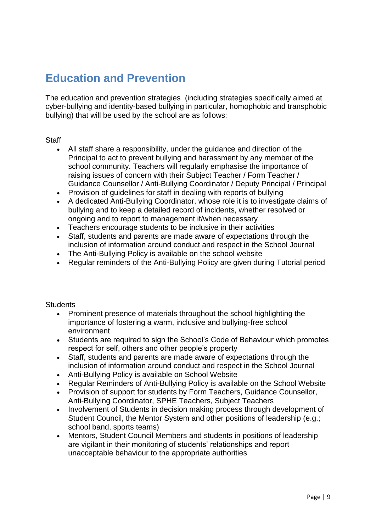### **Education and Prevention**

The education and prevention strategies (including strategies specifically aimed at cyber-bullying and identity-based bullying in particular, homophobic and transphobic bullying) that will be used by the school are as follows:

#### Staff

- All staff share a responsibility, under the guidance and direction of the Principal to act to prevent bullying and harassment by any member of the school community. Teachers will regularly emphasise the importance of raising issues of concern with their Subject Teacher / Form Teacher / Guidance Counsellor / Anti-Bullying Coordinator / Deputy Principal / Principal
- Provision of quidelines for staff in dealing with reports of bullying
- A dedicated Anti-Bullying Coordinator, whose role it is to investigate claims of bullying and to keep a detailed record of incidents, whether resolved or ongoing and to report to management if/when necessary
- Teachers encourage students to be inclusive in their activities
- Staff, students and parents are made aware of expectations through the inclusion of information around conduct and respect in the School Journal
- The Anti-Bullying Policy is available on the school website
- Regular reminders of the Anti-Bullying Policy are given during Tutorial period

#### **Students**

- Prominent presence of materials throughout the school highlighting the importance of fostering a warm, inclusive and bullying-free school environment
- Students are required to sign the School's Code of Behaviour which promotes respect for self, others and other people's property
- Staff, students and parents are made aware of expectations through the inclusion of information around conduct and respect in the School Journal
- Anti-Bullying Policy is available on School Website
- Regular Reminders of Anti-Bullying Policy is available on the School Website
- Provision of support for students by Form Teachers, Guidance Counsellor, Anti-Bullying Coordinator, SPHE Teachers, Subject Teachers
- Involvement of Students in decision making process through development of Student Council, the Mentor System and other positions of leadership (e.g.; school band, sports teams)
- Mentors, Student Council Members and students in positions of leadership are vigilant in their monitoring of students' relationships and report unacceptable behaviour to the appropriate authorities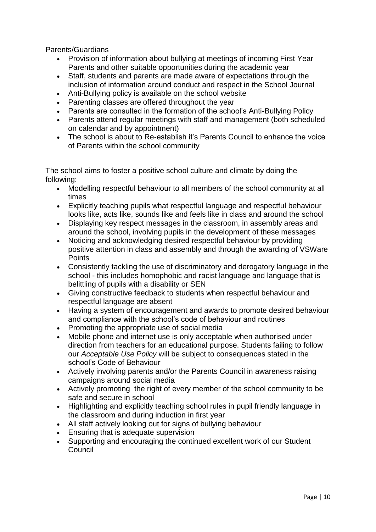Parents/Guardians

- Provision of information about bullying at meetings of incoming First Year Parents and other suitable opportunities during the academic year
- Staff, students and parents are made aware of expectations through the inclusion of information around conduct and respect in the School Journal
- Anti-Bullying policy is available on the school website
- Parenting classes are offered throughout the year
- Parents are consulted in the formation of the school's Anti-Bullying Policy
- Parents attend regular meetings with staff and management (both scheduled on calendar and by appointment)
- The school is about to Re-establish it's Parents Council to enhance the voice of Parents within the school community

The school aims to foster a positive school culture and climate by doing the following:

- Modelling respectful behaviour to all members of the school community at all times
- Explicitly teaching pupils what respectful language and respectful behaviour looks like, acts like, sounds like and feels like in class and around the school
- Displaying key respect messages in the classroom, in assembly areas and around the school, involving pupils in the development of these messages
- Noticing and acknowledging desired respectful behaviour by providing positive attention in class and assembly and through the awarding of VSWare **Points**
- Consistently tackling the use of discriminatory and derogatory language in the school - this includes homophobic and racist language and language that is belittling of pupils with a disability or SEN
- Giving constructive feedback to students when respectful behaviour and respectful language are absent
- Having a system of encouragement and awards to promote desired behaviour and compliance with the school's code of behaviour and routines
- Promoting the appropriate use of social media
- Mobile phone and internet use is only acceptable when authorised under direction from teachers for an educational purpose. Students failing to follow our *Acceptable Use Policy* will be subject to consequences stated in the school's Code of Behaviour
- Actively involving parents and/or the Parents Council in awareness raising campaigns around social media
- Actively promoting the right of every member of the school community to be safe and secure in school
- Highlighting and explicitly teaching school rules in pupil friendly language in the classroom and during induction in first year
- All staff actively looking out for signs of bullying behaviour
- Ensuring that is adequate supervision
- Supporting and encouraging the continued excellent work of our Student Council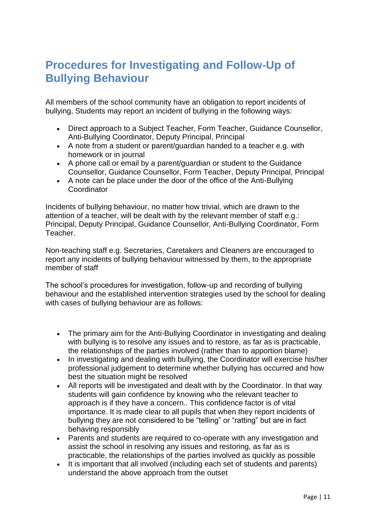### **Procedures for Investigating and Follow-Up of Bullying Behaviour**

All members of the school community have an obligation to report incidents of bullying, Students may report an incident of bullying in the following ways:

- Direct approach to a Subject Teacher, Form Teacher, Guidance Counsellor, Anti-Bullying Coordinator, Deputy Principal, Principal
- A note from a student or parent/guardian handed to a teacher e.g. with homework or in journal
- A phone call or email by a parent/guardian or student to the Guidance Counsellor, Guidance Counsellor, Form Teacher, Deputy Principal, Principal
- A note can be place under the door of the office of the Anti-Bullying Coordinator

Incidents of bullying behaviour, no matter how trivial, which are drawn to the attention of a teacher, will be dealt with by the relevant member of staff e.g.: Principal, Deputy Principal, Guidance Counsellor, Anti-Bullying Coordinator, Form Teacher.

Non-teaching staff e.g. Secretaries, Caretakers and Cleaners are encouraged to report any incidents of bullying behaviour witnessed by them, to the appropriate member of staff

The school's procedures for investigation, follow-up and recording of bullying behaviour and the established intervention strategies used by the school for dealing with cases of bullying behaviour are as follows:

- The primary aim for the Anti-Bullying Coordinator in investigating and dealing with bullying is to resolve any issues and to restore, as far as is practicable, the relationships of the parties involved (rather than to apportion blame)
- In investigating and dealing with bullying, the Coordinator will exercise his/her professional judgement to determine whether bullying has occurred and how best the situation might be resolved
- All reports will be investigated and dealt with by the Coordinator. In that way students will gain confidence by knowing who the relevant teacher to approach is if they have a concern.. This confidence factor is of vital importance. It is made clear to all pupils that when they report incidents of bullying they are not considered to be "telling" or "ratting" but are in fact behaving responsibly
- Parents and students are required to co-operate with any investigation and assist the school in resolving any issues and restoring, as far as is practicable, the relationships of the parties involved as quickly as possible
- It is important that all involved (including each set of students and parents) understand the above approach from the outset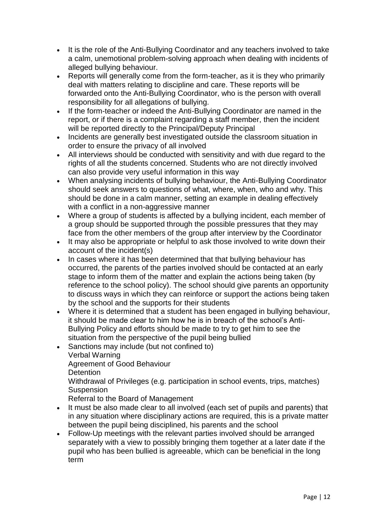- It is the role of the Anti-Bullying Coordinator and any teachers involved to take a calm, unemotional problem-solving approach when dealing with incidents of alleged bullying behaviour.
- Reports will generally come from the form-teacher, as it is they who primarily deal with matters relating to discipline and care. These reports will be forwarded onto the Anti-Bullying Coordinator, who is the person with overall responsibility for all allegations of bullying.
- If the form-teacher or indeed the Anti-Bullying Coordinator are named in the report, or if there is a complaint regarding a staff member, then the incident will be reported directly to the Principal/Deputy Principal
- Incidents are generally best investigated outside the classroom situation in order to ensure the privacy of all involved
- All interviews should be conducted with sensitivity and with due regard to the rights of all the students concerned. Students who are not directly involved can also provide very useful information in this way
- When analysing incidents of bullying behaviour, the Anti-Bullying Coordinator should seek answers to questions of what, where, when, who and why. This should be done in a calm manner, setting an example in dealing effectively with a conflict in a non-aggressive manner
- Where a group of students is affected by a bullying incident, each member of a group should be supported through the possible pressures that they may face from the other members of the group after interview by the Coordinator
- It may also be appropriate or helpful to ask those involved to write down their account of the incident(s)
- In cases where it has been determined that that bullying behaviour has occurred, the parents of the parties involved should be contacted at an early stage to inform them of the matter and explain the actions being taken (by reference to the school policy). The school should give parents an opportunity to discuss ways in which they can reinforce or support the actions being taken by the school and the supports for their students
- Where it is determined that a student has been engaged in bullying behaviour, it should be made clear to him how he is in breach of the school's Anti-Bullying Policy and efforts should be made to try to get him to see the situation from the perspective of the pupil being bullied
- Sanctions may include (but not confined to) Verbal Warning Agreement of Good Behaviour **Detention** Withdrawal of Privileges (e.g. participation in school events, trips, matches) **Suspension**

Referral to the Board of Management

- It must be also made clear to all involved (each set of pupils and parents) that in any situation where disciplinary actions are required, this is a private matter between the pupil being disciplined, his parents and the school
- Follow-Up meetings with the relevant parties involved should be arranged separately with a view to possibly bringing them together at a later date if the pupil who has been bullied is agreeable, which can be beneficial in the long term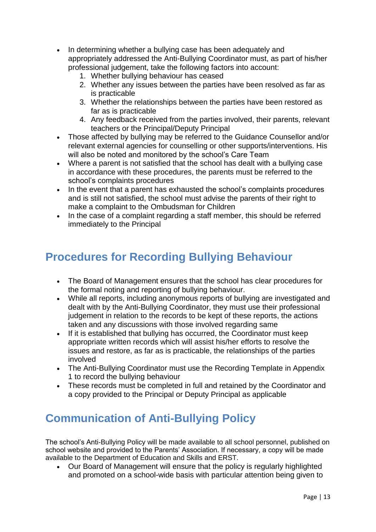- In determining whether a bullying case has been adequately and appropriately addressed the Anti-Bullying Coordinator must, as part of his/her professional judgement, take the following factors into account:
	- 1. Whether bullying behaviour has ceased
	- 2. Whether any issues between the parties have been resolved as far as is practicable
	- 3. Whether the relationships between the parties have been restored as far as is practicable
	- 4. Any feedback received from the parties involved, their parents, relevant teachers or the Principal/Deputy Principal
- Those affected by bullying may be referred to the Guidance Counsellor and/or relevant external agencies for counselling or other supports/interventions. His will also be noted and monitored by the school's Care Team
- Where a parent is not satisfied that the school has dealt with a bullying case in accordance with these procedures, the parents must be referred to the school's complaints procedures
- In the event that a parent has exhausted the school's complaints procedures and is still not satisfied, the school must advise the parents of their right to make a complaint to the Ombudsman for Children
- In the case of a complaint regarding a staff member, this should be referred immediately to the Principal

### **Procedures for Recording Bullying Behaviour**

- The Board of Management ensures that the school has clear procedures for the formal noting and reporting of bullying behaviour.
- While all reports, including anonymous reports of bullying are investigated and dealt with by the Anti-Bullying Coordinator, they must use their professional judgement in relation to the records to be kept of these reports, the actions taken and any discussions with those involved regarding same
- If it is established that bullying has occurred, the Coordinator must keep appropriate written records which will assist his/her efforts to resolve the issues and restore, as far as is practicable, the relationships of the parties involved
- The Anti-Bullying Coordinator must use the Recording Template in Appendix 1 to record the bullying behaviour
- These records must be completed in full and retained by the Coordinator and a copy provided to the Principal or Deputy Principal as applicable

# **Communication of Anti-Bullying Policy**

The school's Anti-Bullying Policy will be made available to all school personnel, published on school website and provided to the Parents' Association. If necessary, a copy will be made available to the Department of Education and Skills and ERST.

 Our Board of Management will ensure that the policy is regularly highlighted and promoted on a school-wide basis with particular attention being given to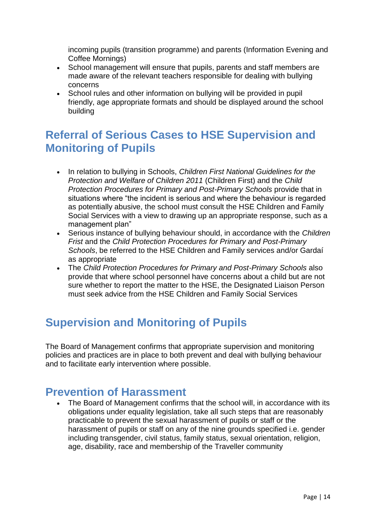incoming pupils (transition programme) and parents (Information Evening and Coffee Mornings)

- School management will ensure that pupils, parents and staff members are made aware of the relevant teachers responsible for dealing with bullying concerns
- School rules and other information on bullying will be provided in pupil friendly, age appropriate formats and should be displayed around the school building

### **Referral of Serious Cases to HSE Supervision and Monitoring of Pupils**

- In relation to bullying in Schools, *Children First National Guidelines for the Protection and Welfare of Children 2011* (Children First) and the *Child Protection Procedures for Primary and Post-Primary Schools provide that in* situations where "the incident is serious and where the behaviour is regarded as potentially abusive, the school must consult the HSE Children and Family Social Services with a view to drawing up an appropriate response, such as a management plan"
- Serious instance of bullying behaviour should, in accordance with the *Children Frist* and the *Child Protection Procedures for Primary and Post-Primary Schools*, be referred to the HSE Children and Family services and/or Gardaí as appropriate
- The *Child Protection Procedures for Primary and Post-Primary Schools* also provide that where school personnel have concerns about a child but are not sure whether to report the matter to the HSE, the Designated Liaison Person must seek advice from the HSE Children and Family Social Services

### **Supervision and Monitoring of Pupils**

The Board of Management confirms that appropriate supervision and monitoring policies and practices are in place to both prevent and deal with bullying behaviour and to facilitate early intervention where possible.

### **Prevention of Harassment**

 The Board of Management confirms that the school will, in accordance with its obligations under equality legislation, take all such steps that are reasonably practicable to prevent the sexual harassment of pupils or staff or the harassment of pupils or staff on any of the nine grounds specified i.e. gender including transgender, civil status, family status, sexual orientation, religion, age, disability, race and membership of the Traveller community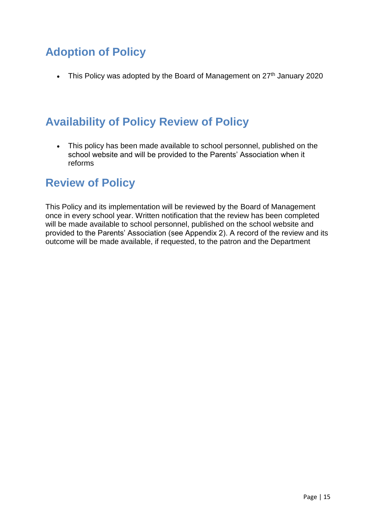# **Adoption of Policy**

• This Policy was adopted by the Board of Management on  $27<sup>th</sup>$  January 2020

# **Availability of Policy Review of Policy**

 This policy has been made available to school personnel, published on the school website and will be provided to the Parents' Association when it reforms

### **Review of Policy**

This Policy and its implementation will be reviewed by the Board of Management once in every school year. Written notification that the review has been completed will be made available to school personnel, published on the school website and provided to the Parents' Association (see Appendix 2). A record of the review and its outcome will be made available, if requested, to the patron and the Department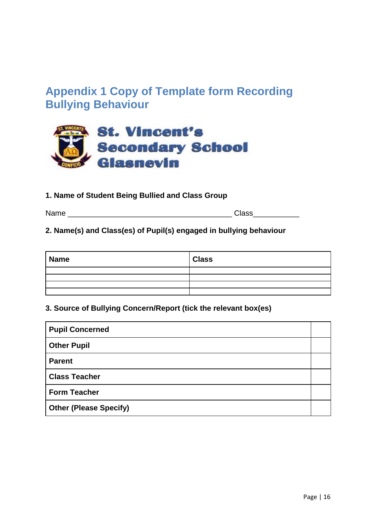### **Appendix 1 Copy of Template form Recording Bullying Behaviour**



#### **1. Name of Student Being Bullied and Class Group**

| Name | lass |
|------|------|
|      |      |

#### **2. Name(s) and Class(es) of Pupil(s) engaged in bullying behaviour**

| <b>Name</b> | <b>Class</b> |
|-------------|--------------|
|             |              |
|             |              |
|             |              |
|             |              |

#### **3. Source of Bullying Concern/Report (tick the relevant box(es)**

| <b>Pupil Concerned</b>        |  |
|-------------------------------|--|
| <b>Other Pupil</b>            |  |
| <b>Parent</b>                 |  |
| <b>Class Teacher</b>          |  |
| <b>Form Teacher</b>           |  |
| <b>Other (Please Specify)</b> |  |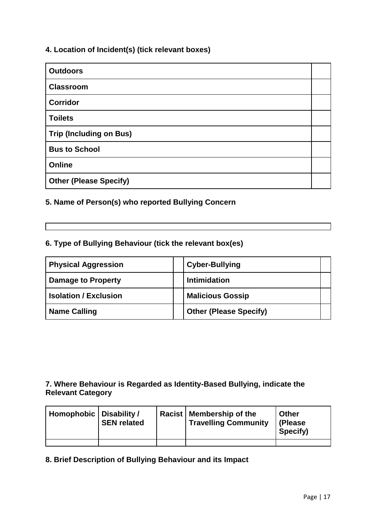#### **4. Location of Incident(s) (tick relevant boxes)**

| <b>Outdoors</b>                |  |
|--------------------------------|--|
| <b>Classroom</b>               |  |
| <b>Corridor</b>                |  |
| <b>Toilets</b>                 |  |
| <b>Trip (Including on Bus)</b> |  |
| <b>Bus to School</b>           |  |
| Online                         |  |
| <b>Other (Please Specify)</b>  |  |

#### **5. Name of Person(s) who reported Bullying Concern**

#### **6. Type of Bullying Behaviour (tick the relevant box(es)**

| <b>Physical Aggression</b>   | <b>Cyber-Bullying</b>         |  |
|------------------------------|-------------------------------|--|
| <b>Damage to Property</b>    | <b>Intimidation</b>           |  |
| <b>Isolation / Exclusion</b> | <b>Malicious Gossip</b>       |  |
| <b>Name Calling</b>          | <b>Other (Please Specify)</b> |  |

#### **7. Where Behaviour is Regarded as Identity-Based Bullying, indicate the Relevant Category**

| Homophobic   Disability / | <b>SEN related</b> | <b>Racist   Membership of the</b><br><sup>I</sup> Travelling Community | <b>Other</b><br>(Please<br>Specify) |
|---------------------------|--------------------|------------------------------------------------------------------------|-------------------------------------|
|                           |                    |                                                                        |                                     |

#### **8. Brief Description of Bullying Behaviour and its Impact**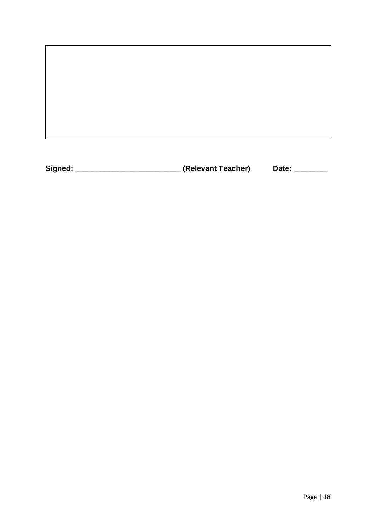**Signed:** \_\_\_\_\_\_\_\_\_\_\_\_\_\_\_\_\_\_\_\_\_\_\_\_\_\_\_\_\_\_(Relevant Teacher) Date: \_\_\_\_\_\_\_\_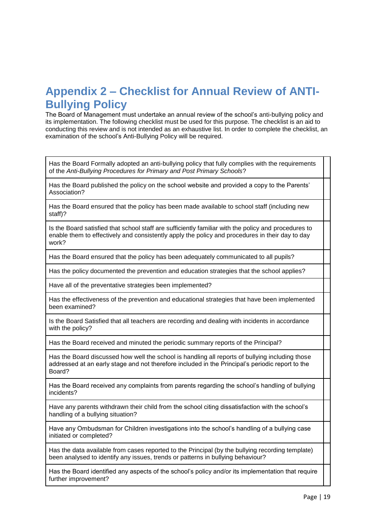### **Appendix 2 – Checklist for Annual Review of ANTI-Bullying Policy**

The Board of Management must undertake an annual review of the school's anti-bullying policy and its implementation. The following checklist must be used for this purpose. The checklist is an aid to conducting this review and is not intended as an exhaustive list. In order to complete the checklist, an examination of the school's Anti-Bullying Policy will be required.

Has the Board Formally adopted an anti-bullying policy that fully complies with the requirements of the *Anti-Bullying Procedures for Primary and Post Primary Schools*?

Has the Board published the policy on the school website and provided a copy to the Parents' Association?

Has the Board ensured that the policy has been made available to school staff (including new staff)?

Is the Board satisfied that school staff are sufficiently familiar with the policy and procedures to enable them to effectively and consistently apply the policy and procedures in their day to day work?

Has the Board ensured that the policy has been adequately communicated to all pupils?

Has the policy documented the prevention and education strategies that the school applies?

Have all of the preventative strategies been implemented?

Has the effectiveness of the prevention and educational strategies that have been implemented been examined?

Is the Board Satisfied that all teachers are recording and dealing with incidents in accordance with the policy?

Has the Board received and minuted the periodic summary reports of the Principal?

Has the Board discussed how well the school is handling all reports of bullying including those addressed at an early stage and not therefore included in the Principal's periodic report to the Board?

Has the Board received any complaints from parents regarding the school's handling of bullying incidents?

Have any parents withdrawn their child from the school citing dissatisfaction with the school's handling of a bullying situation?

Have any Ombudsman for Children investigations into the school's handling of a bullying case initiated or completed?

Has the data available from cases reported to the Principal (by the bullying recording template) been analysed to identify any issues, trends or patterns in bullying behaviour?

Has the Board identified any aspects of the school's policy and/or its implementation that require further improvement?